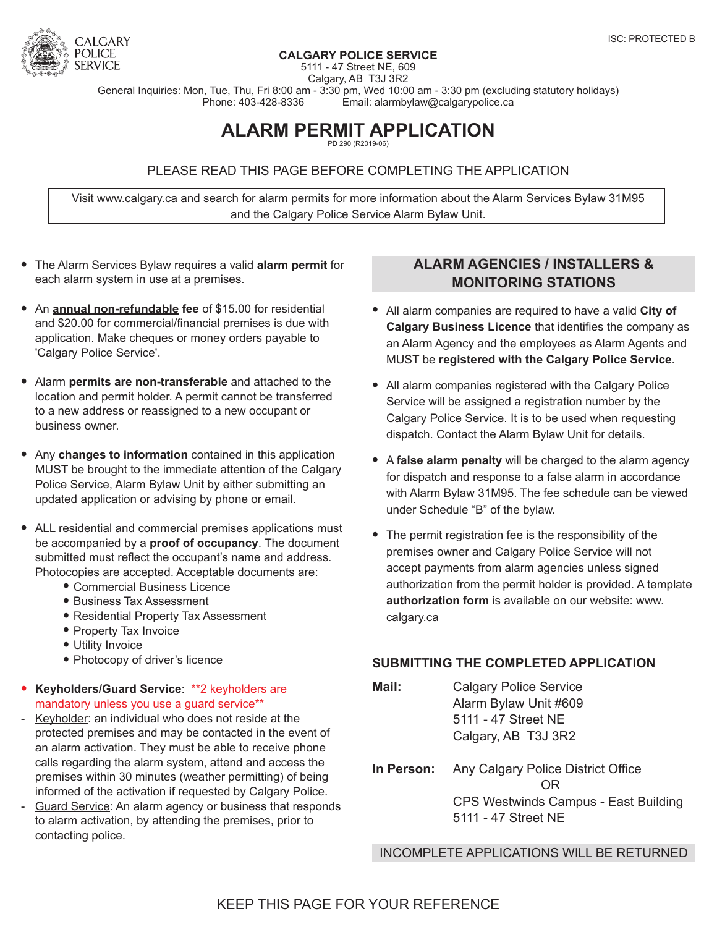

#### **CALGARY POLICE SERVICE**

5111 - 47 Street NE, 609

Calgary, AB T3J 3R2 General Inquiries: Mon, Tue, Thu, Fri 8:00 am - 3:30 pm, Wed 10:00 am - 3:30 pm (excluding statutory holidays)<br>Phone: 403-428-8336 Email: alarmbylaw@calgarypolice.ca Email: alarmbylaw@calgarypolice.ca

### **ALARM PERMIT APPLICATION** PD 290 (R2019-06)

PLEASE READ THIS PAGE BEFORE COMPLETING THE APPLICATION

Visit [www.calgary.ca and search for alarm permits](https://www.calgary.ca/cps/Pages/Public-services/Security-and-alarm-permits-and-bylaws.aspx) for more information about the [Alarm Services Bylaw 31M95](http://publicaccess.calgary.ca/lldm01/livelink.exe?func=ccpa.general&msgID=GyAcqgrysN&msgAction=Download)  and the Calgary Police Service Alarm Bylaw Unit.

- **•** The Alarm Services Bylaw requires a valid **alarm permit** for each alarm system in use at a premises.
- **•** An **annual non-refundable fee** of \$15.00 for residential and \$20.00 for commercial/financial premises is due with application. Make cheques or money orders payable to 'Calgary Police Service'.
- **•** Alarm **permits are non-transferable** and attached to the location and permit holder. A permit cannot be transferred to a new address or reassigned to a new occupant or business owner.
- **•** Any **changes to information** contained in this application MUST be brought to the immediate attention of the Calgary Police Service, Alarm Bylaw Unit by either submitting an updated application or advising by phone or email.
- **•** ALL residential and commercial premises applications must be accompanied by a **proof of occupancy**. The document submitted must reflect the occupant's name and address. Photocopies are accepted. Acceptable documents are:
	- Commercial Business Licence
	- Business Tax Assessment
	- Residential Property Tax Assessment
	- Property Tax Invoice
	- Utility Invoice
	- Photocopy of driver's licence
- **• Keyholders/Guard Service**: \*\*2 keyholders are mandatory unless you use a guard service\*\*
- Keyholder: an individual who does not reside at the protected premises and may be contacted in the event of an alarm activation. They must be able to receive phone calls regarding the alarm system, attend and access the premises within 30 minutes (weather permitting) of being informed of the activation if requested by Calgary Police.
- Guard Service: An alarm agency or business that responds to alarm activation, by attending the premises, prior to contacting police.

## **ALARM AGENCIES / INSTALLERS & MONITORING STATIONS**

- **•** All alarm companies are required to have a valid **City of Calgary Business Licence** that identifies the company as an Alarm Agency and the employees as Alarm Agents and MUST be **registered with the Calgary Police Service**.
- **•** All alarm companies registered with the Calgary Police Service will be assigned a registration number by the Calgary Police Service. It is to be used when requesting dispatch. Contact the Alarm Bylaw Unit for details.
- **•** A **false alarm penalty** will be charged to the alarm agency for dispatch and response to a false alarm in accordance with Alarm Bylaw 31M95. The fee schedule can be viewed under Schedule "B" of the bylaw.
- **•** The permit registration fee is the responsibility of the premises owner and Calgary Police Service will not accept payments from alarm agencies unless signed authorization from the permit holder is provided. A template **authorization form** is available on our website: www. calgary.ca

### **SUBMITTING THE COMPLETED APPLICATION**

- **Mail:** Calgary Police Service Alarm Bylaw Unit #609 5111 - 47 Street NE Calgary, AB T3J 3R2
- **In Person:** Any Calgary Police District Office **ORIGINAL CONTRACT CONTRACT ORIGINAL**  CPS Westwinds Campus - East Building 5111 - 47 Street NE

INCOMPLETE APPLICATIONS WILL BE RETURNED